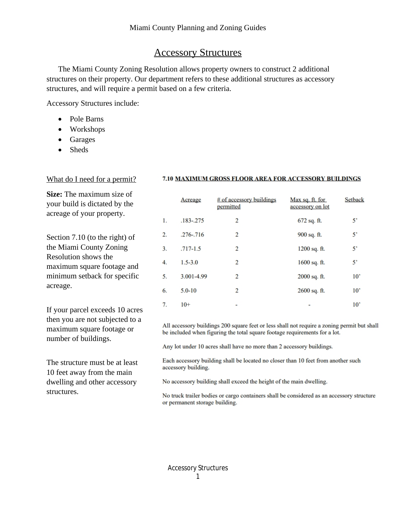# Accessory Structures

The Miami County Zoning Resolution allows property owners to construct 2 additional structures on their property. Our department refers to these additional structures as accessory structures, and will require a permit based on a few criteria.

Accessory Structures include:

- Pole Barns
- Workshops
- Garages
- Sheds

### What do I need for a permit?

**Size:** The maximum size of your build is dictated by the acreage of your property.

Section 7.10 (to the right) of the Miami County Zoning Resolution shows the maximum square footage and minimum setback for specific acreage.

If your parcel exceeds 10 acres then you are not subjected to a maximum square footage or number of buildings.

The structure must be at least 10 feet away from the main dwelling and other accessory structures.

#### 7.10 MAXIMUM GROSS FLOOR AREA FOR ACCESSORY BUILDINGS

|    | Acreage       | # of accessory buildings<br>permitted | Max sq. ft. for<br>accessory on lot | Setback         |
|----|---------------|---------------------------------------|-------------------------------------|-----------------|
| 1. | $.183 - .275$ | $\overline{2}$                        | $672$ sq. ft.                       | 5'              |
| 2. | $.276 - .716$ | 2                                     | 900 sq. ft.                         | 5'              |
| 3. | $.717 - 1.5$  | 2                                     | $1200$ sq. ft.                      | $5^{\circ}$     |
| 4. | $1.5 - 3.0$   | 2                                     | $1600$ sq. ft.                      | 5'              |
| 5. | 3.001-4.99    | 2                                     | $2000$ sq. ft.                      | $10^{\circ}$    |
| 6. | $5.0 - 10$    | 2                                     | 2600 sq. ft.                        | 10 <sup>2</sup> |
| 7. | $10+$         |                                       |                                     | 10'             |

All accessory buildings 200 square feet or less shall not require a zoning permit but shall be included when figuring the total square footage requirements for a lot.

Any lot under 10 acres shall have no more than 2 accessory buildings.

Each accessory building shall be located no closer than 10 feet from another such accessory building.

No accessory building shall exceed the height of the main dwelling.

No truck trailer bodies or cargo containers shall be considered as an accessory structure or permanent storage building.